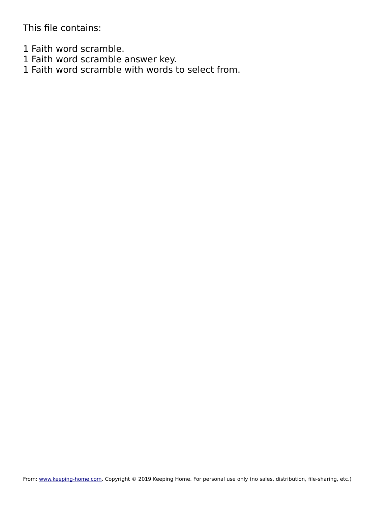This file contains:

1 Faith word scramble.

- 1 Faith word scramble answer key.
- 1 Faith word scramble with words to select from.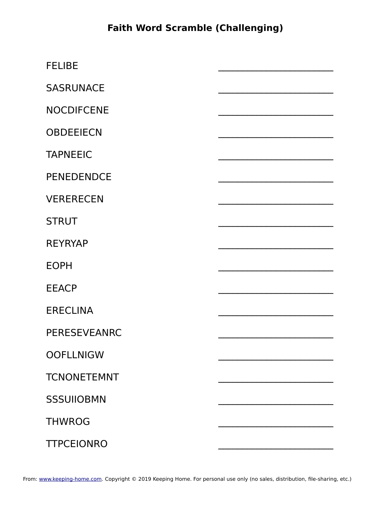## **Faith Word Scramble (Challenging)**

| <b>FELIBE</b>       |  |
|---------------------|--|
| <b>SASRUNACE</b>    |  |
| <b>NOCDIFCENE</b>   |  |
| <b>OBDEEIECN</b>    |  |
| <b>TAPNEEIC</b>     |  |
| <b>PENEDENDCE</b>   |  |
| <b>VERERECEN</b>    |  |
| <b>STRUT</b>        |  |
| <b>REYRYAP</b>      |  |
| <b>EOPH</b>         |  |
| <b>EEACP</b>        |  |
| <b>ERECLINA</b>     |  |
| <b>PERESEVEANRC</b> |  |
| <b>OOFLLNIGW</b>    |  |
| <b>TCNONETEMNT</b>  |  |
| <b>SSSUIIOBMN</b>   |  |
| <b>THWROG</b>       |  |
| <b>TTPCEIONRO</b>   |  |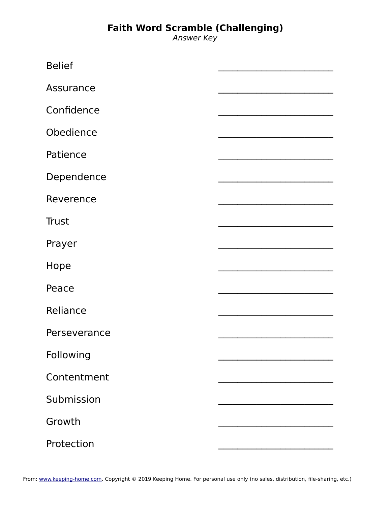## **Faith Word Scramble (Challenging)**

Answer Key

| <b>Belief</b> |  |
|---------------|--|
| Assurance     |  |
| Confidence    |  |
| Obedience     |  |
| Patience      |  |
| Dependence    |  |
| Reverence     |  |
| <b>Trust</b>  |  |
| Prayer        |  |
| Hope          |  |
| Peace         |  |
| Reliance      |  |
| Perseverance  |  |
| Following     |  |
| Contentment   |  |
| Submission    |  |
| Growth        |  |
| Protection    |  |